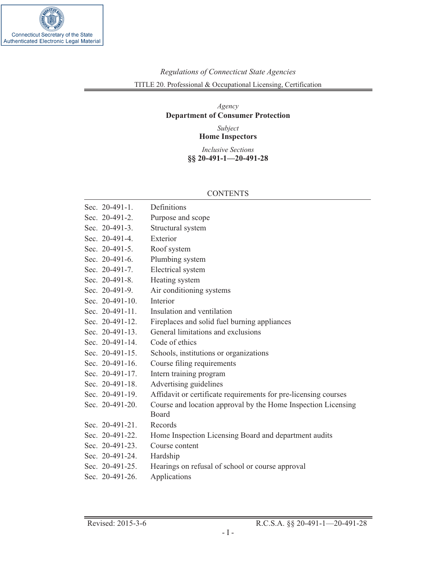

# *Regulations of Connecticut State Agencies* TITLE 20. Professional & Occupational Licensing, Certification

## *Agency* **Department of Consumer Protection**

*Subject* **Home Inspectors**

*Inclusive Sections* **§§ 20-491-1—20-491-28**

### CONTENTS

| Sec. 20-491-1.     | Definitions                                                     |
|--------------------|-----------------------------------------------------------------|
| Sec. 20-491-2.     | Purpose and scope                                               |
| Sec. 20-491-3.     | Structural system                                               |
| Sec. 20-491-4.     | Exterior                                                        |
| Sec. 20-491-5.     | Roof system                                                     |
| Sec. 20-491-6.     | Plumbing system                                                 |
| Sec. 20-491-7.     | Electrical system                                               |
| Sec. 20-491-8.     | Heating system                                                  |
| Sec. 20-491-9.     | Air conditioning systems                                        |
| Sec. $20-491-10$ . | Interior                                                        |
| Sec. 20-491-11.    | Insulation and ventilation                                      |
| Sec. 20-491-12.    | Fireplaces and solid fuel burning appliances                    |
| Sec. 20-491-13.    | General limitations and exclusions                              |
| Sec. 20-491-14.    | Code of ethics                                                  |
| Sec. 20-491-15.    | Schools, institutions or organizations                          |
| Sec. 20-491-16.    | Course filing requirements                                      |
| Sec. 20-491-17.    | Intern training program                                         |
| Sec. 20-491-18.    | Advertising guidelines                                          |
| Sec. 20-491-19.    | Affidavit or certificate requirements for pre-licensing courses |
| Sec. 20-491-20.    | Course and location approval by the Home Inspection Licensing   |
|                    | <b>Board</b>                                                    |
| Sec. 20-491-21.    | Records                                                         |
| Sec. 20-491-22.    | Home Inspection Licensing Board and department audits           |
| Sec. 20-491-23.    | Course content                                                  |
| Sec. 20-491-24.    | Hardship                                                        |
| Sec. 20-491-25.    | Hearings on refusal of school or course approval                |
| Sec. 20-491-26.    | Applications                                                    |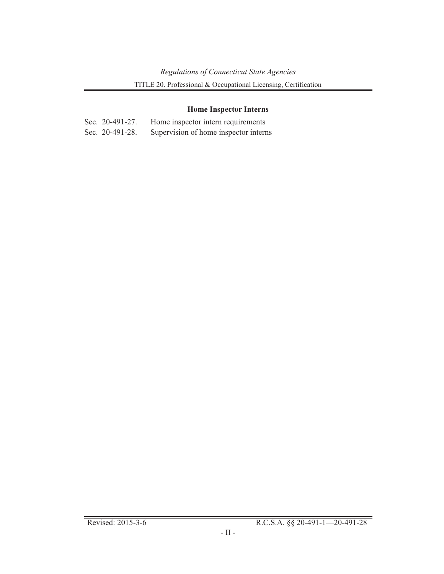## **Home [Inspector](#page-13-0) Interns**

| Sec. $20-491-27$ . | Home inspector intern requirements    |
|--------------------|---------------------------------------|
| Sec. 20-491-28.    | Supervision of home inspector interns |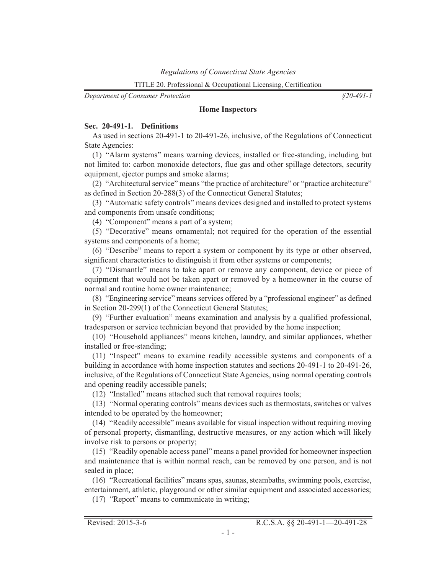<span id="page-2-0"></span>*Department of Consumer Protection*

*§20-491-1*

#### **Home Inspectors**

#### **Sec. 20-491-1. Definitions**

As used in sections 20-491-1 to 20-491-26, inclusive, of the Regulations of Connecticut State Agencies:

(1) "Alarm systems" means warning devices, installed or free-standing, including but not limited to: carbon monoxide detectors, flue gas and other spillage detectors, security equipment, ejector pumps and smoke alarms;

(2) "Architectural service" means "the practice of architecture" or "practice architecture" as defined in Section 20-288(3) of the Connecticut General Statutes;

(3) "Automatic safety controls" means devices designed and installed to protect systems and components from unsafe conditions;

(4) "Component" means a part of a system;

(5) "Decorative" means ornamental; not required for the operation of the essential systems and components of a home;

(6) "Describe" means to report a system or component by its type or other observed, significant characteristics to distinguish it from other systems or components;

(7) "Dismantle" means to take apart or remove any component, device or piece of equipment that would not be taken apart or removed by a homeowner in the course of normal and routine home owner maintenance;

(8) "Engineering service" means services offered by a "professional engineer" as defined in Section 20-299(1) of the Connecticut General Statutes;

(9) "Further evaluation" means examination and analysis by a qualified professional, tradesperson or service technician beyond that provided by the home inspection;

(10) "Household appliances" means kitchen, laundry, and similar appliances, whether installed or free-standing;

(11) "Inspect" means to examine readily accessible systems and components of a building in accordance with home inspection statutes and sections 20-491-1 to 20-491-26, inclusive, of the Regulations of Connecticut State Agencies, using normal operating controls and opening readily accessible panels;

(12) "Installed" means attached such that removal requires tools;

(13) "Normal operating controls" means devices such as thermostats, switches or valves intended to be operated by the homeowner;

(14) "Readily accessible" means available for visual inspection without requiring moving of personal property, dismantling, destructive measures, or any action which will likely involve risk to persons or property;

(15) "Readily openable access panel" means a panel provided for homeowner inspection and maintenance that is within normal reach, can be removed by one person, and is not sealed in place;

(16) "Recreational facilities" means spas, saunas, steambaths, swimming pools, exercise, entertainment, athletic, playground or other similar equipment and associated accessories;

(17) "Report" means to communicate in writing;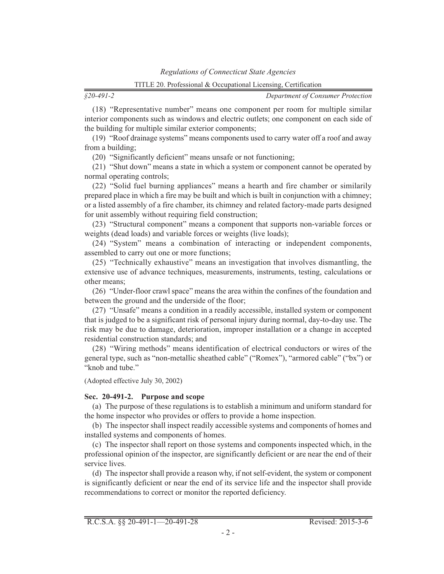<span id="page-3-0"></span>*§20-491-2*

*Department of Consumer Protection*

(18) "Representative number" means one component per room for multiple similar interior components such as windows and electric outlets; one component on each side of the building for multiple similar exterior components;

(19) "Roof drainage systems" means components used to carry water off a roof and away from a building;

(20) "Significantly deficient" means unsafe or not functioning;

(21) "Shut down" means a state in which a system or component cannot be operated by normal operating controls;

(22) "Solid fuel burning appliances" means a hearth and fire chamber or similarily prepared place in which a fire may be built and which is built in conjunction with a chimney; or a listed assembly of a fire chamber, its chimney and related factory-made parts designed for unit assembly without requiring field construction;

(23) "Structural component" means a component that supports non-variable forces or weights (dead loads) and variable forces or weights (live loads);

(24) "System" means a combination of interacting or independent components, assembled to carry out one or more functions;

(25) "Technically exhaustive" means an investigation that involves dismantling, the extensive use of advance techniques, measurements, instruments, testing, calculations or other means;

(26) "Under-floor crawl space" means the area within the confines of the foundation and between the ground and the underside of the floor;

(27) "Unsafe" means a condition in a readily accessible, installed system or component that is judged to be a significant risk of personal injury during normal, day-to-day use. The risk may be due to damage, deterioration, improper installation or a change in accepted residential construction standards; and

(28) "Wiring methods" means identification of electrical conductors or wires of the general type, such as "non-metallic sheathed cable" ("Romex"), "armored cable" ("bx") or "knob and tube."

(Adopted effective July 30, 2002)

#### **Sec. 20-491-2. Purpose and scope**

(a) The purpose of these regulations is to establish a minimum and uniform standard for the home inspector who provides or offers to provide a home inspection.

(b) The inspector shall inspect readily accessible systems and components of homes and installed systems and components of homes.

(c) The inspector shall report on those systems and components inspected which, in the professional opinion of the inspector, are significantly deficient or are near the end of their service lives.

(d) The inspector shall provide a reason why, if not self-evident, the system or component is significantly deficient or near the end of its service life and the inspector shall provide recommendations to correct or monitor the reported deficiency.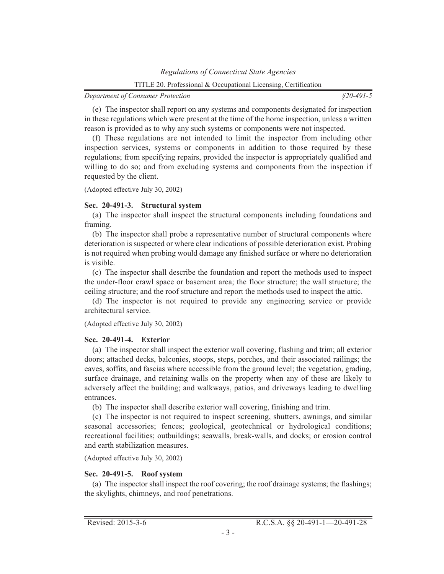<span id="page-4-0"></span>(e) The inspector shall report on any systems and components designated for inspection in these regulations which were present at the time of the home inspection, unless a written reason is provided as to why any such systems or components were not inspected.

(f) These regulations are not intended to limit the inspector from including other inspection services, systems or components in addition to those required by these regulations; from specifying repairs, provided the inspector is appropriately qualified and willing to do so; and from excluding systems and components from the inspection if requested by the client.

(Adopted effective July 30, 2002)

## **Sec. 20-491-3. Structural system**

(a) The inspector shall inspect the structural components including foundations and framing.

(b) The inspector shall probe a representative number of structural components where deterioration is suspected or where clear indications of possible deterioration exist. Probing is not required when probing would damage any finished surface or where no deterioration is visible.

(c) The inspector shall describe the foundation and report the methods used to inspect the under-floor crawl space or basement area; the floor structure; the wall structure; the ceiling structure; and the roof structure and report the methods used to inspect the attic.

(d) The inspector is not required to provide any engineering service or provide architectural service.

#### (Adopted effective July 30, 2002)

## **Sec. 20-491-4. Exterior**

(a) The inspector shall inspect the exterior wall covering, flashing and trim; all exterior doors; attached decks, balconies, stoops, steps, porches, and their associated railings; the eaves, soffits, and fascias where accessible from the ground level; the vegetation, grading, surface drainage, and retaining walls on the property when any of these are likely to adversely affect the building; and walkways, patios, and driveways leading to dwelling entrances.

(b) The inspector shall describe exterior wall covering, finishing and trim.

(c) The inspector is not required to inspect screening, shutters, awnings, and similar seasonal accessories; fences; geological, geotechnical or hydrological conditions; recreational facilities; outbuildings; seawalls, break-walls, and docks; or erosion control and earth stabilization measures.

(Adopted effective July 30, 2002)

## **Sec. 20-491-5. Roof system**

(a) The inspector shall inspect the roof covering; the roof drainage systems; the flashings; the skylights, chimneys, and roof penetrations.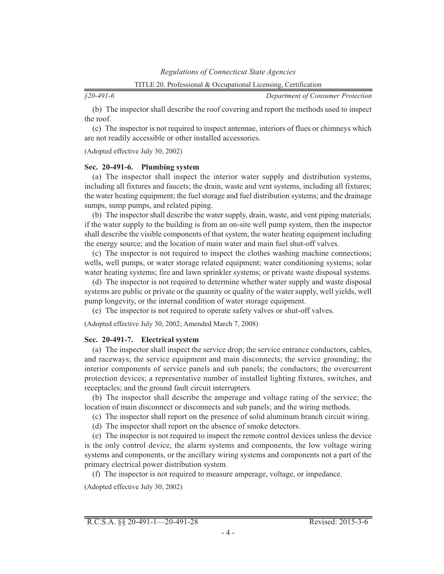<span id="page-5-0"></span>*§20-491-6*

*Department of Consumer Protection*

(b) The inspector shall describe the roof covering and report the methods used to inspect the roof.

(c) The inspector is not required to inspect antennae, interiors of flues or chimneys which are not readily accessible or other installed accessories.

(Adopted effective July 30, 2002)

#### **Sec. 20-491-6. Plumbing system**

(a) The inspector shall inspect the interior water supply and distribution systems, including all fixtures and faucets; the drain, waste and vent systems, including all fixtures; the water heating equipment; the fuel storage and fuel distribution systems; and the drainage sumps, sump pumps, and related piping.

(b) The inspector shall describe the water supply, drain, waste, and vent piping materials; if the water supply to the building is from an on-site well pump system, then the inspector shall describe the visible components of that system, the water heating equipment including the energy source; and the location of main water and main fuel shut-off valves.

(c) The inspector is not required to inspect the clothes washing machine connections; wells, well pumps, or water storage related equipment; water conditioning systems; solar water heating systems; fire and lawn sprinkler systems; or private waste disposal systems.

(d) The inspector is not required to determine whether water supply and waste disposal systems are public or private or the quantity or quality of the water supply, well yields, well pump longevity, or the internal condition of water storage equipment.

(e) The inspector is not required to operate safety valves or shut-off valves.

(Adopted effective July 30, 2002; Amended March 7, 2008)

#### **Sec. 20-491-7. Electrical system**

(a) The inspector shall inspect the service drop; the service entrance conductors, cables, and raceways; the service equipment and main disconnects; the service grounding; the interior components of service panels and sub panels; the conductors; the overcurrent protection devices; a representative number of installed lighting fixtures, switches, and receptacles; and the ground fault circuit interrupters.

(b) The inspector shall describe the amperage and voltage rating of the service; the location of main disconnect or disconnects and sub panels; and the wiring methods.

(c) The inspector shall report on the presence of solid aluminum branch circuit wiring.

(d) The inspector shall report on the absence of smoke detectors.

(e) The inspector is not required to inspect the remote control devices unless the device is the only control device, the alarm systems and components, the low voltage wiring systems and components, or the ancillary wiring systems and components not a part of the primary electrical power distribution system.

(f) The inspector is not required to measure amperage, voltage, or impedance.

(Adopted effective July 30, 2002)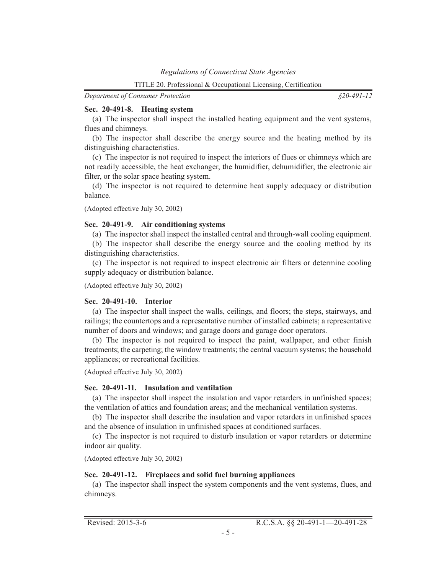*§20-491-12*

#### <span id="page-6-0"></span>**Sec. 20-491-8. Heating system**

(a) The inspector shall inspect the installed heating equipment and the vent systems, flues and chimneys.

(b) The inspector shall describe the energy source and the heating method by its distinguishing characteristics.

(c) The inspector is not required to inspect the interiors of flues or chimneys which are not readily accessible, the heat exchanger, the humidifier, dehumidifier, the electronic air filter, or the solar space heating system.

(d) The inspector is not required to determine heat supply adequacy or distribution balance.

(Adopted effective July 30, 2002)

#### **Sec. 20-491-9. Air conditioning systems**

(a) The inspector shall inspect the installed central and through-wall cooling equipment.

(b) The inspector shall describe the energy source and the cooling method by its distinguishing characteristics.

(c) The inspector is not required to inspect electronic air filters or determine cooling supply adequacy or distribution balance.

(Adopted effective July 30, 2002)

#### **Sec. 20-491-10. Interior**

(a) The inspector shall inspect the walls, ceilings, and floors; the steps, stairways, and railings; the countertops and a representative number of installed cabinets; a representative number of doors and windows; and garage doors and garage door operators.

(b) The inspector is not required to inspect the paint, wallpaper, and other finish treatments; the carpeting; the window treatments; the central vacuum systems; the household appliances; or recreational facilities.

(Adopted effective July 30, 2002)

#### **Sec. 20-491-11. Insulation and ventilation**

(a) The inspector shall inspect the insulation and vapor retarders in unfinished spaces; the ventilation of attics and foundation areas; and the mechanical ventilation systems.

(b) The inspector shall describe the insulation and vapor retarders in unfinished spaces and the absence of insulation in unfinished spaces at conditioned surfaces.

(c) The inspector is not required to disturb insulation or vapor retarders or determine indoor air quality.

(Adopted effective July 30, 2002)

#### **Sec. 20-491-12. Fireplaces and solid fuel burning appliances**

(a) The inspector shall inspect the system components and the vent systems, flues, and chimneys.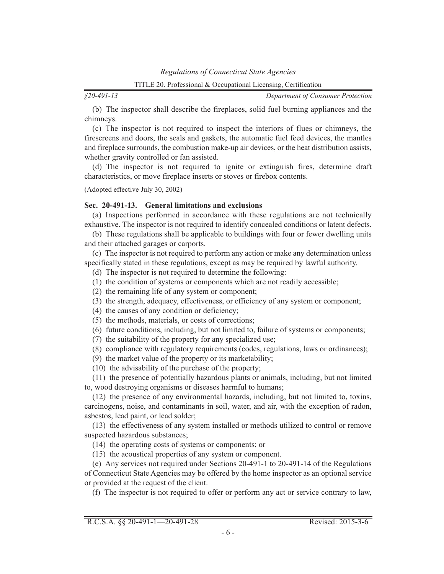<span id="page-7-0"></span>*§20-491-13*

*Department of Consumer Protection*

(b) The inspector shall describe the fireplaces, solid fuel burning appliances and the chimneys.

(c) The inspector is not required to inspect the interiors of flues or chimneys, the firescreens and doors, the seals and gaskets, the automatic fuel feed devices, the mantles and fireplace surrounds, the combustion make-up air devices, or the heat distribution assists, whether gravity controlled or fan assisted.

(d) The inspector is not required to ignite or extinguish fires, determine draft characteristics, or move fireplace inserts or stoves or firebox contents.

(Adopted effective July 30, 2002)

#### **Sec. 20-491-13. General limitations and exclusions**

(a) Inspections performed in accordance with these regulations are not technically exhaustive. The inspector is not required to identify concealed conditions or latent defects.

(b) These regulations shall be applicable to buildings with four or fewer dwelling units and their attached garages or carports.

(c) The inspector is not required to perform any action or make any determination unless specifically stated in these regulations, except as may be required by lawful authority.

- (d) The inspector is not required to determine the following:
- (1) the condition of systems or components which are not readily accessible;
- (2) the remaining life of any system or component;
- (3) the strength, adequacy, effectiveness, or efficiency of any system or component;
- (4) the causes of any condition or deficiency;
- (5) the methods, materials, or costs of corrections;
- (6) future conditions, including, but not limited to, failure of systems or components;
- (7) the suitability of the property for any specialized use;
- (8) compliance with regulatory requirements (codes, regulations, laws or ordinances);
- (9) the market value of the property or its marketability;
- (10) the advisability of the purchase of the property;

(11) the presence of potentially hazardous plants or animals, including, but not limited to, wood destroying organisms or diseases harmful to humans;

(12) the presence of any environmental hazards, including, but not limited to, toxins, carcinogens, noise, and contaminants in soil, water, and air, with the exception of radon, asbestos, lead paint, or lead solder;

(13) the effectiveness of any system installed or methods utilized to control or remove suspected hazardous substances;

(14) the operating costs of systems or components; or

(15) the acoustical properties of any system or component.

(e) Any services not required under Sections 20-491-1 to 20-491-14 of the Regulations of Connecticut State Agencies may be offered by the home inspector as an optional service or provided at the request of the client.

(f) The inspector is not required to offer or perform any act or service contrary to law,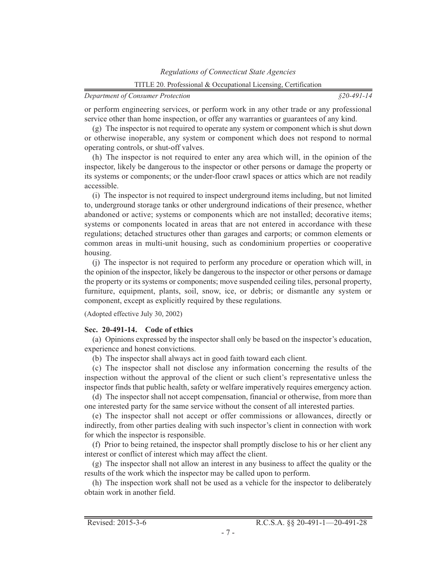<span id="page-8-0"></span>or perform engineering services, or perform work in any other trade or any professional service other than home inspection, or offer any warranties or guarantees of any kind.

(g) The inspector is not required to operate any system or component which is shut down or otherwise inoperable, any system or component which does not respond to normal operating controls, or shut-off valves.

(h) The inspector is not required to enter any area which will, in the opinion of the inspector, likely be dangerous to the inspector or other persons or damage the property or its systems or components; or the under-floor crawl spaces or attics which are not readily accessible.

(i) The inspector is not required to inspect underground items including, but not limited to, underground storage tanks or other underground indications of their presence, whether abandoned or active; systems or components which are not installed; decorative items; systems or components located in areas that are not entered in accordance with these regulations; detached structures other than garages and carports; or common elements or common areas in multi-unit housing, such as condominium properties or cooperative housing.

(j) The inspector is not required to perform any procedure or operation which will, in the opinion of the inspector, likely be dangerous to the inspector or other persons or damage the property or its systems or components; move suspended ceiling tiles, personal property, furniture, equipment, plants, soil, snow, ice, or debris; or dismantle any system or component, except as explicitly required by these regulations.

(Adopted effective July 30, 2002)

#### **Sec. 20-491-14. Code of ethics**

(a) Opinions expressed by the inspector shall only be based on the inspector's education, experience and honest convictions.

(b) The inspector shall always act in good faith toward each client.

(c) The inspector shall not disclose any information concerning the results of the inspection without the approval of the client or such client's representative unless the inspector finds that public health, safety or welfare imperatively requires emergency action.

(d) The inspector shall not accept compensation, financial or otherwise, from more than one interested party for the same service without the consent of all interested parties.

(e) The inspector shall not accept or offer commissions or allowances, directly or indirectly, from other parties dealing with such inspector's client in connection with work for which the inspector is responsible.

(f) Prior to being retained, the inspector shall promptly disclose to his or her client any interest or conflict of interest which may affect the client.

(g) The inspector shall not allow an interest in any business to affect the quality or the results of the work which the inspector may be called upon to perform.

(h) The inspection work shall not be used as a vehicle for the inspector to deliberately obtain work in another field.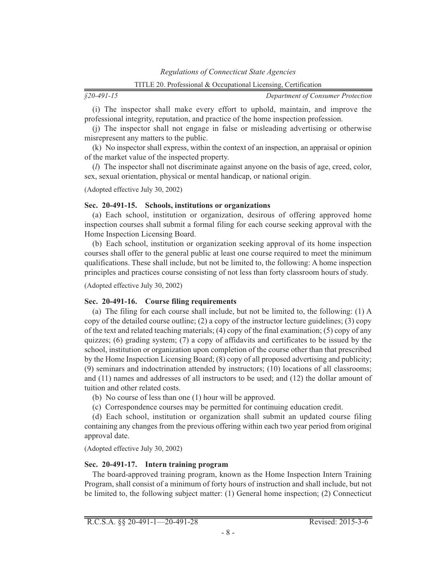<span id="page-9-0"></span>

|              | TITLE 20. Professional & Occupational Licensing, Certification |
|--------------|----------------------------------------------------------------|
| $$20-491-15$ | Department of Consume                                          |

(i) The inspector shall make every effort to uphold, maintain, and improve the professional integrity, reputation, and practice of the home inspection profession.

(j) The inspector shall not engage in false or misleading advertising or otherwise misrepresent any matters to the public.

(k) No inspector shall express, within the context of an inspection, an appraisal or opinion of the market value of the inspected property.

(*l*) The inspector shall not discriminate against anyone on the basis of age, creed, color, sex, sexual orientation, physical or mental handicap, or national origin.

(Adopted effective July 30, 2002)

### **Sec. 20-491-15. Schools, institutions or organizations**

(a) Each school, institution or organization, desirous of offering approved home inspection courses shall submit a formal filing for each course seeking approval with the Home Inspection Licensing Board.

(b) Each school, institution or organization seeking approval of its home inspection courses shall offer to the general public at least one course required to meet the minimum qualifications. These shall include, but not be limited to, the following: A home inspection principles and practices course consisting of not less than forty classroom hours of study.

(Adopted effective July 30, 2002)

## **Sec. 20-491-16. Course filing requirements**

(a) The filing for each course shall include, but not be limited to, the following: (1) A copy of the detailed course outline; (2) a copy of the instructor lecture guidelines; (3) copy of the text and related teaching materials; (4) copy of the final examination; (5) copy of any quizzes; (6) grading system; (7) a copy of affidavits and certificates to be issued by the school, institution or organization upon completion of the course other than that prescribed by the Home Inspection Licensing Board; (8) copy of all proposed advertising and publicity; (9) seminars and indoctrination attended by instructors; (10) locations of all classrooms; and (11) names and addresses of all instructors to be used; and (12) the dollar amount of tuition and other related costs.

(b) No course of less than one (1) hour will be approved.

(c) Correspondence courses may be permitted for continuing education credit.

(d) Each school, institution or organization shall submit an updated course filing containing any changes from the previous offering within each two year period from original approval date.

(Adopted effective July 30, 2002)

## **Sec. 20-491-17. Intern training program**

The board-approved training program, known as the Home Inspection Intern Training Program, shall consist of a minimum of forty hours of instruction and shall include, but not be limited to, the following subject matter: (1) General home inspection; (2) Connecticut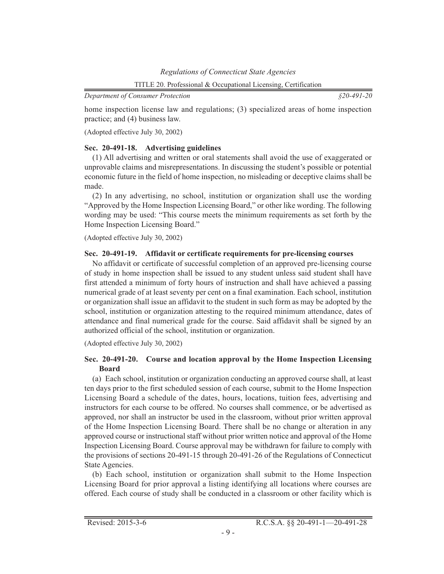*§20-491-20*

<span id="page-10-0"></span>home inspection license law and regulations; (3) specialized areas of home inspection practice; and (4) business law.

(Adopted effective July 30, 2002)

## **Sec. 20-491-18. Advertising guidelines**

(1) All advertising and written or oral statements shall avoid the use of exaggerated or unprovable claims and misrepresentations. In discussing the student's possible or potential economic future in the field of home inspection, no misleading or deceptive claims shall be made.

(2) In any advertising, no school, institution or organization shall use the wording "Approved by the Home Inspection Licensing Board," or other like wording. The following wording may be used: "This course meets the minimum requirements as set forth by the Home Inspection Licensing Board."

(Adopted effective July 30, 2002)

## **Sec. 20-491-19. Affidavit or certificate requirements for pre-licensing courses**

No affidavit or certificate of successful completion of an approved pre-licensing course of study in home inspection shall be issued to any student unless said student shall have first attended a minimum of forty hours of instruction and shall have achieved a passing numerical grade of at least seventy per cent on a final examination. Each school, institution or organization shall issue an affidavit to the student in such form as may be adopted by the school, institution or organization attesting to the required minimum attendance, dates of attendance and final numerical grade for the course. Said affidavit shall be signed by an authorized official of the school, institution or organization.

(Adopted effective July 30, 2002)

## **Sec. 20-491-20. Course and location approval by the Home Inspection Licensing Board**

(a) Each school, institution or organization conducting an approved course shall, at least ten days prior to the first scheduled session of each course, submit to the Home Inspection Licensing Board a schedule of the dates, hours, locations, tuition fees, advertising and instructors for each course to be offered. No courses shall commence, or be advertised as approved, nor shall an instructor be used in the classroom, without prior written approval of the Home Inspection Licensing Board. There shall be no change or alteration in any approved course or instructional staff without prior written notice and approval of the Home Inspection Licensing Board. Course approval may be withdrawn for failure to comply with the provisions of sections 20-491-15 through 20-491-26 of the Regulations of Connecticut State Agencies.

(b) Each school, institution or organization shall submit to the Home Inspection Licensing Board for prior approval a listing identifying all locations where courses are offered. Each course of study shall be conducted in a classroom or other facility which is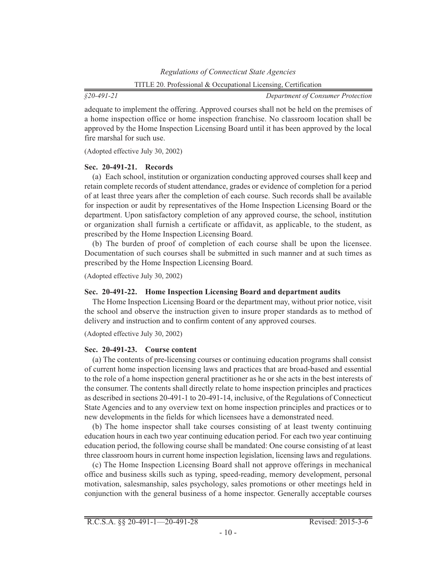<span id="page-11-0"></span>*§20-491-21*

*Department of Consumer Protection*

adequate to implement the offering. Approved courses shall not be held on the premises of a home inspection office or home inspection franchise. No classroom location shall be approved by the Home Inspection Licensing Board until it has been approved by the local fire marshal for such use.

(Adopted effective July 30, 2002)

## **Sec. 20-491-21. Records**

(a) Each school, institution or organization conducting approved courses shall keep and retain complete records of student attendance, grades or evidence of completion for a period of at least three years after the completion of each course. Such records shall be available for inspection or audit by representatives of the Home Inspection Licensing Board or the department. Upon satisfactory completion of any approved course, the school, institution or organization shall furnish a certificate or affidavit, as applicable, to the student, as prescribed by the Home Inspection Licensing Board.

(b) The burden of proof of completion of each course shall be upon the licensee. Documentation of such courses shall be submitted in such manner and at such times as prescribed by the Home Inspection Licensing Board.

(Adopted effective July 30, 2002)

## **Sec. 20-491-22. Home Inspection Licensing Board and department audits**

The Home Inspection Licensing Board or the department may, without prior notice, visit the school and observe the instruction given to insure proper standards as to method of delivery and instruction and to confirm content of any approved courses.

(Adopted effective July 30, 2002)

## **Sec. 20-491-23. Course content**

(a) The contents of pre-licensing courses or continuing education programs shall consist of current home inspection licensing laws and practices that are broad-based and essential to the role of a home inspection general practitioner as he or she acts in the best interests of the consumer. The contents shall directly relate to home inspection principles and practices as described in sections 20-491-1 to 20-491-14, inclusive, of the Regulations of Connecticut State Agencies and to any overview text on home inspection principles and practices or to new developments in the fields for which licensees have a demonstrated need.

(b) The home inspector shall take courses consisting of at least twenty continuing education hours in each two year continuing education period. For each two year continuing education period, the following course shall be mandated: One course consisting of at least three classroom hours in current home inspection legislation, licensing laws and regulations.

(c) The Home Inspection Licensing Board shall not approve offerings in mechanical office and business skills such as typing, speed-reading, memory development, personal motivation, salesmanship, sales psychology, sales promotions or other meetings held in conjunction with the general business of a home inspector. Generally acceptable courses

R.C.S.A. §§ 20-491-1—20-491-28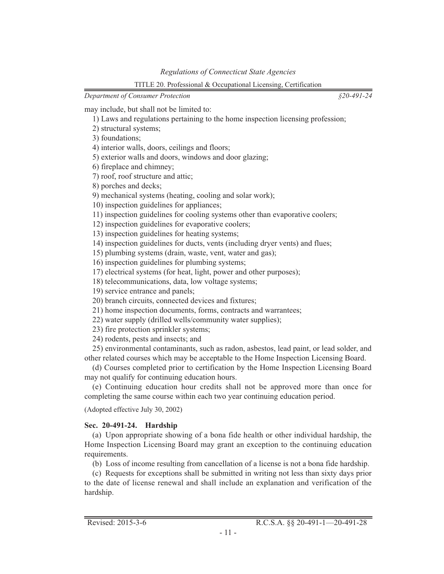*§20-491-24*

<span id="page-12-0"></span>*Department of Consumer Protection*

may include, but shall not be limited to:

1) Laws and regulations pertaining to the home inspection licensing profession;

2) structural systems;

3) foundations;

4) interior walls, doors, ceilings and floors;

5) exterior walls and doors, windows and door glazing;

6) fireplace and chimney;

7) roof, roof structure and attic;

8) porches and decks;

9) mechanical systems (heating, cooling and solar work);

10) inspection guidelines for appliances;

11) inspection guidelines for cooling systems other than evaporative coolers;

12) inspection guidelines for evaporative coolers;

13) inspection guidelines for heating systems;

14) inspection guidelines for ducts, vents (including dryer vents) and flues;

15) plumbing systems (drain, waste, vent, water and gas);

16) inspection guidelines for plumbing systems;

17) electrical systems (for heat, light, power and other purposes);

18) telecommunications, data, low voltage systems;

19) service entrance and panels;

20) branch circuits, connected devices and fixtures;

21) home inspection documents, forms, contracts and warrantees;

22) water supply (drilled wells/community water supplies);

23) fire protection sprinkler systems;

24) rodents, pests and insects; and

25) environmental contaminants, such as radon, asbestos, lead paint, or lead solder, and other related courses which may be acceptable to the Home Inspection Licensing Board.

(d) Courses completed prior to certification by the Home Inspection Licensing Board may not qualify for continuing education hours.

(e) Continuing education hour credits shall not be approved more than once for completing the same course within each two year continuing education period.

(Adopted effective July 30, 2002)

## **Sec. 20-491-24. Hardship**

(a) Upon appropriate showing of a bona fide health or other individual hardship, the Home Inspection Licensing Board may grant an exception to the continuing education requirements.

(b) Loss of income resulting from cancellation of a license is not a bona fide hardship.

(c) Requests for exceptions shall be submitted in writing not less than sixty days prior to the date of license renewal and shall include an explanation and verification of the hardship.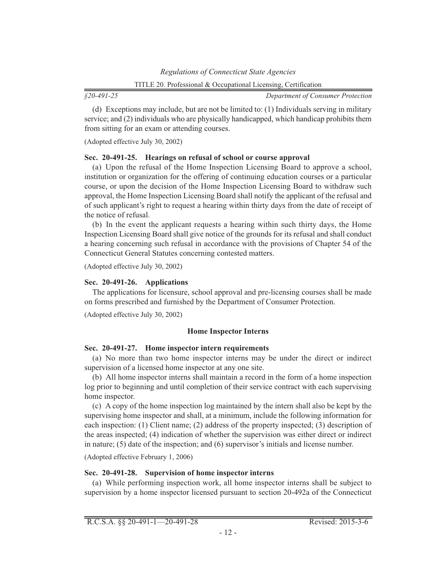<span id="page-13-0"></span>*§20-491-25*

*Department of Consumer Protection*

(d) Exceptions may include, but are not be limited to: (1) Individuals serving in military service; and (2) individuals who are physically handicapped, which handicap prohibits them from sitting for an exam or attending courses.

(Adopted effective July 30, 2002)

### **Sec. 20-491-25. Hearings on refusal of school or course approval**

(a) Upon the refusal of the Home Inspection Licensing Board to approve a school, institution or organization for the offering of continuing education courses or a particular course, or upon the decision of the Home Inspection Licensing Board to withdraw such approval, the Home Inspection Licensing Board shall notify the applicant of the refusal and of such applicant's right to request a hearing within thirty days from the date of receipt of the notice of refusal.

(b) In the event the applicant requests a hearing within such thirty days, the Home Inspection Licensing Board shall give notice of the grounds for its refusal and shall conduct a hearing concerning such refusal in accordance with the provisions of Chapter 54 of the Connecticut General Statutes concerning contested matters.

(Adopted effective July 30, 2002)

### **Sec. 20-491-26. Applications**

The applications for licensure, school approval and pre-licensing courses shall be made on forms prescribed and furnished by the Department of Consumer Protection.

(Adopted effective July 30, 2002)

## **Home Inspector Interns**

## **Sec. 20-491-27. Home inspector intern requirements**

(a) No more than two home inspector interns may be under the direct or indirect supervision of a licensed home inspector at any one site.

(b) All home inspector interns shall maintain a record in the form of a home inspection log prior to beginning and until completion of their service contract with each supervising home inspector.

(c) A copy of the home inspection log maintained by the intern shall also be kept by the supervising home inspector and shall, at a minimum, include the following information for each inspection: (1) Client name; (2) address of the property inspected; (3) description of the areas inspected; (4) indication of whether the supervision was either direct or indirect in nature; (5) date of the inspection; and (6) supervisor's initials and license number.

(Adopted effective February 1, 2006)

## **Sec. 20-491-28. Supervision of home inspector interns**

(a) While performing inspection work, all home inspector interns shall be subject to supervision by a home inspector licensed pursuant to section 20-492a of the Connecticut